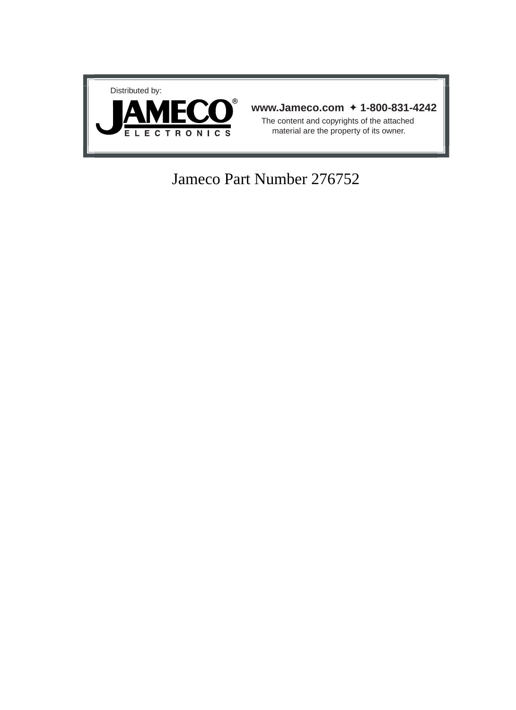

# Jameco Part Number 276752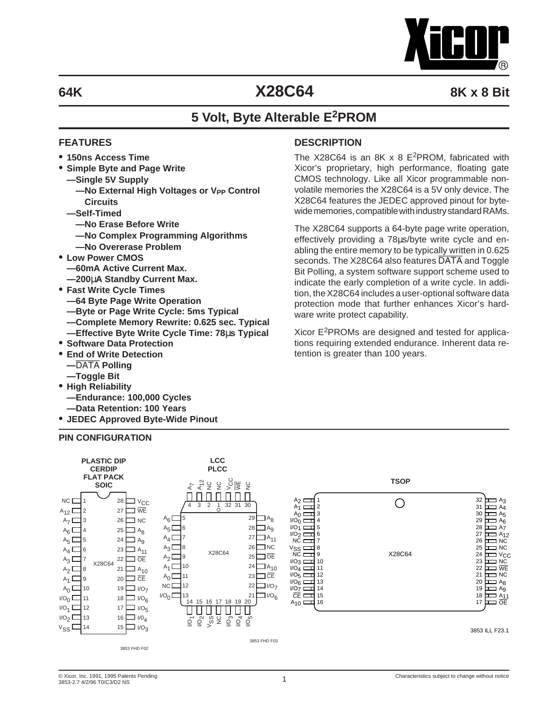

The X28C64 is an 8K  $x$  8 E<sup>2</sup>PROM, fabricated with Xicor's proprietary, high performance, floating gate CMOS technology. Like all Xicor programmable nonvolatile memories the X28C64 is a 5V only device. The X28C64 features the JEDEC approved pinout for bytewide memories, compatible with industry standard RAMs. The X28C64 supports a 64-byte page write operation, effectively providing a 78µs/byte write cycle and enabling the entire memory to be typically written in 0.625 seconds. The X28C64 also features DATA and Toggle Bit Polling, a system software support scheme used to indicate the early completion of a write cycle. In addition, the X28C64 includes a user-optional software data protection mode that further enhances Xicor's hard-

Xicor  $E^2$ PROMs are designed and tested for applications requiring extended endurance. Inherent data re-

# **64K X28C64 8K x 8 Bit**

# **5 Volt, Byte Alterable E2PROM**

**DESCRIPTION**

ware write protect capability.

tention is greater than 100 years.

### **FEATURES**

- **• 150ns Access Time**
- **• Simple Byte and Page Write**
	- **—Single 5V Supply**
		- $-$ No External High Voltages or V<sub>PP</sub> Control **Circuits**
	- **—Self-Timed**
		- **—No Erase Before Write**
		- **—No Complex Programming Algorithms**
	- **—No Overerase Problem**
- **• Low Power CMOS**
	- **—60mA Active Current Max.**
	- **—200**µ**A Standby Current Max.**
- **• Fast Write Cycle Times**
	- **—64 Byte Page Write Operation**
	- **—Byte or Page Write Cycle: 5ms Typical**
	- **—Complete Memory Rewrite: 0.625 sec. Typical**
- **—Effective Byte Write Cycle Time: 78**µ**s Typical • Software Data Protection**
- **• End of Write Detection**
- **—**DATA **Polling**
- **—Toggle Bit**
- **• High Reliability**
	- **—Endurance: 100,000 Cycles**
	- **—Data Retention: 100 Years**
- **• JEDEC Approved Byte-Wide Pinout**

#### **PIN CONFIGURATION**



#### © Xicor, Inc. 1991, 1995 Patents Pending Characteristics subject to change without notice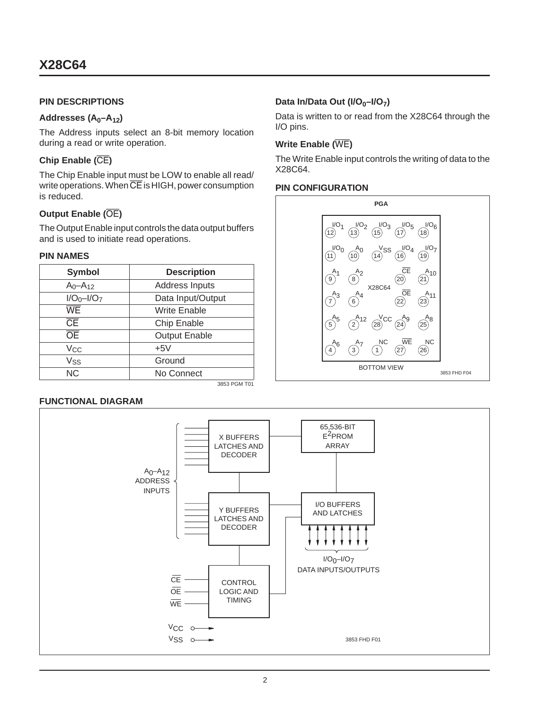### **PIN DESCRIPTIONS**

### Addresses (A<sub>0</sub>–A<sub>12</sub>)

The Address inputs select an 8-bit memory location during a read or write operation.

### **Chip Enable (**CE**)**

The Chip Enable input must be LOW to enable all read/ write operations. When  $\overline{CE}$  is HIGH, power consumption is reduced.

### **Output Enable (**OE**)**

The Output Enable input controls the data output buffers and is used to initiate read operations.

### **PIN NAMES**

| <b>Symbol</b>          | <b>Description</b>   |
|------------------------|----------------------|
| $A_0 - A_{12}$         | Address Inputs       |
| $I/O_0 - I/O_7$        | Data Input/Output    |
| $\overline{\text{WE}}$ | Write Enable         |
| $\overline{\text{CE}}$ | Chip Enable          |
| <b>OE</b>              | <b>Output Enable</b> |
| Vcc                    | $+5V$                |
| Vss                    | Ground               |
| N <sub>C</sub>         | No Connect           |

3853 PGM T01

### **FUNCTIONAL DIAGRAM**

#### 3853 FHD F01 X BUFFERS LATCHES AND DECODER I/O BUFFERS Y BUFFERS AND LATCHES LATCHES AND DECODER **CONTROL** LOGIC AND TIMING 65,536-BIT E2PROM ARRAY  $I/O_0-I/O_7$ DATA INPUTS/OUTPUTS CE OE  $VCC$   $\circ$  $VSS \sim$  $A_0 - A_12$ ADDRESS INPUTS **WE**

### Data In/Data Out (I/O<sub>0</sub>–I/O<sub>7</sub>)

Data is written to or read from the X28C64 through the I/O pins.

### **Write Enable (**WE**)**

The Write Enable input controls the writing of data to the X28C64.

### **PIN CONFIGURATION**

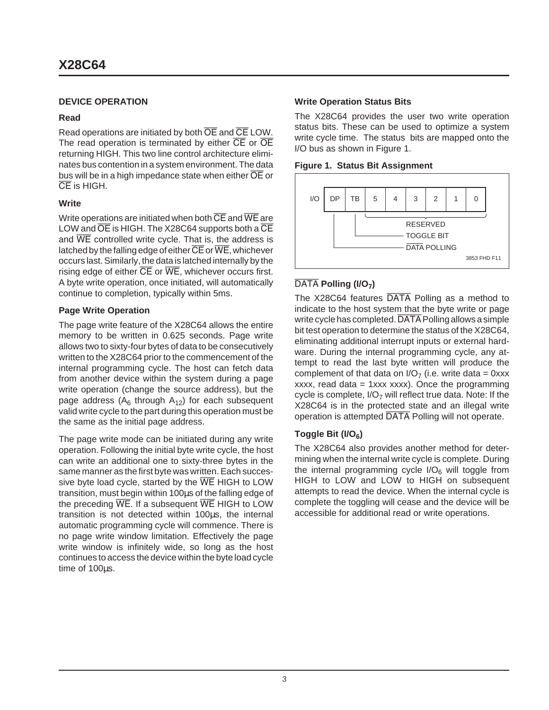### **DEVICE OPERATION**

### **Read**

Read operations are initiated by both  $\overline{OE}$  and  $\overline{CE}$  LOW. The read operation is terminated by either  $\overline{CE}$  or  $\overline{OE}$ returning HIGH. This two line control architecture eliminates bus contention in a system environment. The data bus will be in a high impedance state when either  $\overline{OE}$  or CE is HIGH.

### **Write**

Write operations are initiated when both  $\overline{\text{CE}}$  and  $\overline{\text{WE}}$  are LOW and  $\overline{OE}$  is HIGH. The X28C64 supports both a  $\overline{CE}$ and WE controlled write cycle. That is, the address is latched by the falling edge of either  $\overline{\text{CE}}$  or  $\overline{\text{WE}}$ , whichever occurs last. Similarly, the data is latched internally by the rising edge of either  $\overline{CE}$  or  $\overline{WE}$ , whichever occurs first. A byte write operation, once initiated, will automatically continue to completion, typically within 5ms.

### **Page Write Operation**

The page write feature of the X28C64 allows the entire memory to be written in 0.625 seconds. Page write allows two to sixty-four bytes of data to be consecutively written to the X28C64 prior to the commencement of the internal programming cycle. The host can fetch data from another device within the system during a page write operation (change the source address), but the page address ( $A_6$  through  $A_{12}$ ) for each subsequent valid write cycle to the part during this operation must be the same as the initial page address.

The page write mode can be initiated during any write operation. Following the initial byte write cycle, the host can write an additional one to sixty-three bytes in the same manner as the first byte was written. Each successive byte load cycle, started by the  $\overline{WE}$  HIGH to LOW transition, must begin within 100µs of the falling edge of the preceding  $\overline{\text{WE}}$ . If a subsequent  $\overline{\text{WE}}$  HIGH to LOW transition is not detected within 100µs, the internal automatic programming cycle will commence. There is no page write window limitation. Effectively the page write window is infinitely wide, so long as the host continues to access the device within the byte load cycle time of 100µs.

### **Write Operation Status Bits**

The X28C64 provides the user two write operation status bits. These can be used to optimize a system write cycle time. The status bits are mapped onto the I/O bus as shown in Figure 1.





### DATA Polling (I/O<sub>7</sub>)

The X28C64 features DATA Polling as a method to indicate to the host system that the byte write or page write cycle has completed. DATA Polling allows a simple bit test operation to determine the status of the X28C64, eliminating additional interrupt inputs or external hardware. During the internal programming cycle, any attempt to read the last byte written will produce the complement of that data on  $I/O<sub>7</sub>$  (i.e. write data = 0xxx xxxx, read data =  $1$ xxx xxxx). Once the programming cycle is complete,  $I/O<sub>7</sub>$  will reflect true data. Note: If the X28C64 is in the protected state and an illegal write operation is attempted DATA Polling will not operate.

### Toggle Bit (I/O<sub>6</sub>)

The X28C64 also provides another method for determining when the internal write cycle is complete. During the internal programming cycle  $I/O<sub>6</sub>$  will toggle from HIGH to LOW and LOW to HIGH on subsequent attempts to read the device. When the internal cycle is complete the toggling will cease and the device will be accessible for additional read or write operations.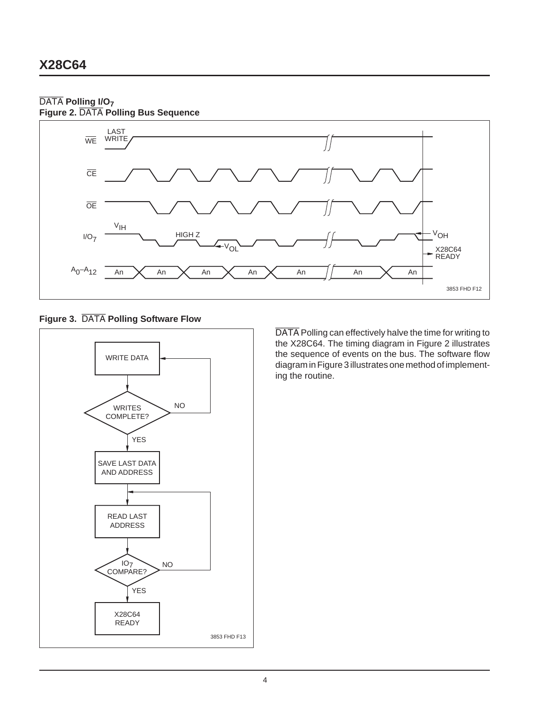### DATA **Polling I/O7**

**Figure 2.** DATA **Polling Bus Sequence**



**Figure 3.** DATA **Polling Software Flow**



DATA Polling can effectively halve the time for writing to the X28C64. The timing diagram in Figure 2 illustrates the sequence of events on the bus. The software flow diagram in Figure 3 illustrates one method of implementing the routine.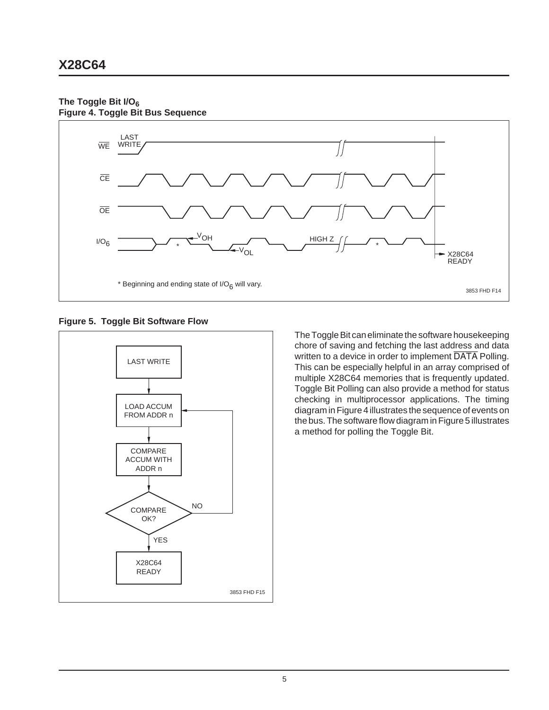#### **The Toggle Bit I/O6 Figure 4. Toggle Bit Bus Sequence**



**Figure 5. Toggle Bit Software Flow**



The Toggle Bit can eliminate the software housekeeping chore of saving and fetching the last address and data written to a device in order to implement DATA Polling. This can be especially helpful in an array comprised of multiple X28C64 memories that is frequently updated. Toggle Bit Polling can also provide a method for status checking in multiprocessor applications. The timing diagram in Figure 4 illustrates the sequence of events on the bus. The software flow diagram in Figure 5 illustrates a method for polling the Toggle Bit.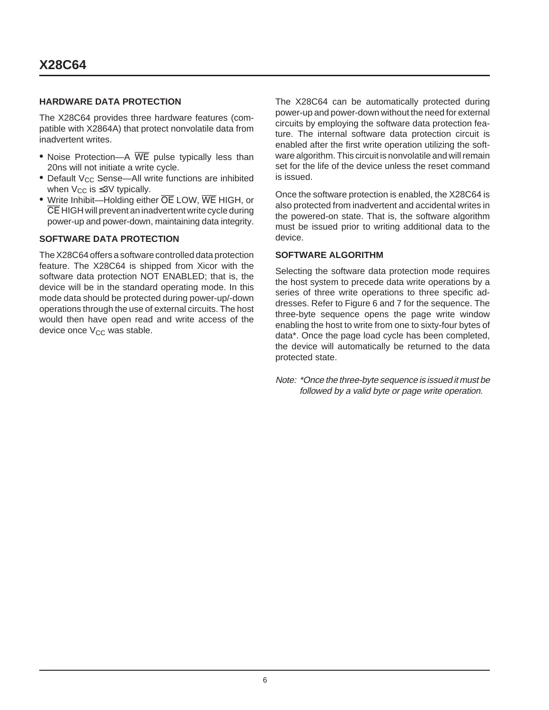### **HARDWARE DATA PROTECTION**

The X28C64 provides three hardware features (compatible with X2864A) that protect nonvolatile data from inadvertent writes.

- Noise Protection-A WE pulse typically less than 20ns will not initiate a write cycle.
- Default V<sub>CC</sub> Sense—All write functions are inhibited when  $V_{CC}$  is  $\leq 3V$  typically.
- Write Inhibit—Holding either OE LOW, WE HIGH, or CE HIGH will prevent an inadvertent write cycle during power-up and power-down, maintaining data integrity.

### **SOFTWARE DATA PROTECTION**

The X28C64 offers a software controlled data protection feature. The X28C64 is shipped from Xicor with the software data protection NOT ENABLED; that is, the device will be in the standard operating mode. In this mode data should be protected during power-up/-down operations through the use of external circuits. The host would then have open read and write access of the device once  $V_{CC}$  was stable.

The X28C64 can be automatically protected during power-up and power-down without the need for external circuits by employing the software data protection feature. The internal software data protection circuit is enabled after the first write operation utilizing the software algorithm. This circuit is nonvolatile and will remain set for the life of the device unless the reset command is issued.

Once the software protection is enabled, the X28C64 is also protected from inadvertent and accidental writes in the powered-on state. That is, the software algorithm must be issued prior to writing additional data to the device.

### **SOFTWARE ALGORITHM**

Selecting the software data protection mode requires the host system to precede data write operations by a series of three write operations to three specific addresses. Refer to Figure 6 and 7 for the sequence. The three-byte sequence opens the page write window enabling the host to write from one to sixty-four bytes of data\*. Once the page load cycle has been completed, the device will automatically be returned to the data protected state.

Note: \*Once the three-byte sequence is issued it must be followed by a valid byte or page write operation.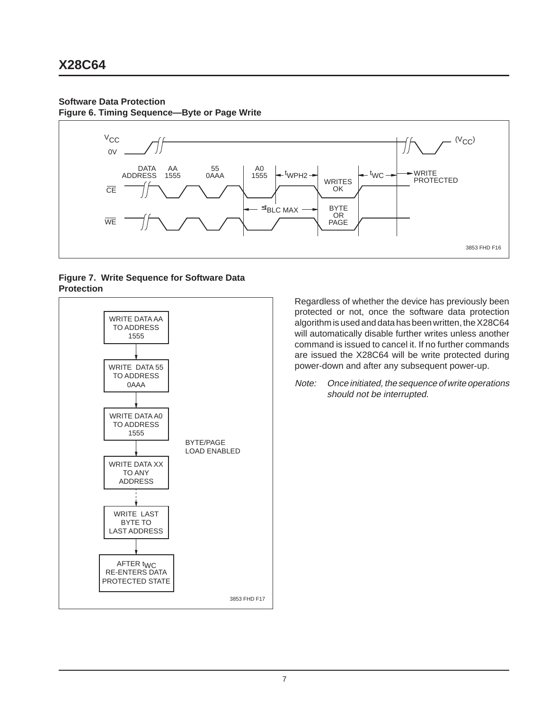### **Software Data Protection**

**Figure 6. Timing Sequence—Byte or Page Write**



### **Figure 7. Write Sequence for Software Data Protection**



Regardless of whether the device has previously been protected or not, once the software data protection algorithm is used and data has been written, the X28C64 will automatically disable further writes unless another command is issued to cancel it. If no further commands are issued the X28C64 will be write protected during power-down and after any subsequent power-up.

Note: Once initiated, the sequence of write operations should not be interrupted.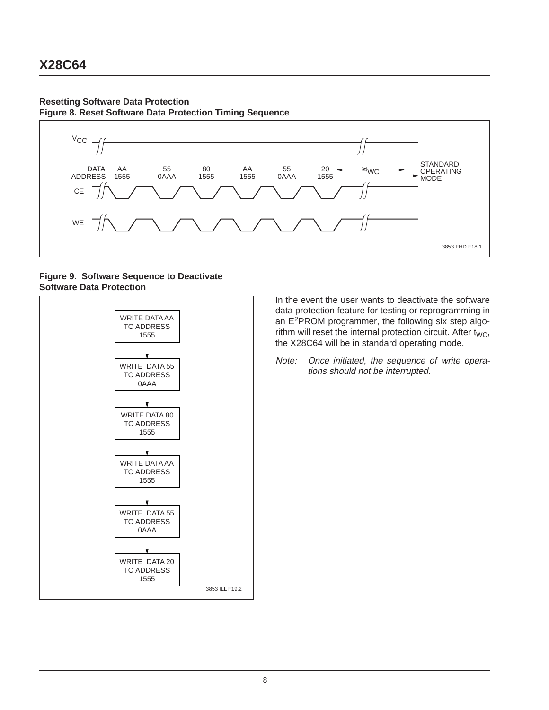### **Resetting Software Data Protection**

**Figure 8. Reset Software Data Protection Timing Sequence**



### **Figure 9. Software Sequence to Deactivate Software Data Protection**



In the event the user wants to deactivate the software data protection feature for testing or reprogramming in an E2PROM programmer, the following six step algorithm will reset the internal protection circuit. After  $t_{WC}$ , the X28C64 will be in standard operating mode.

Note: Once initiated, the sequence of write operations should not be interrupted.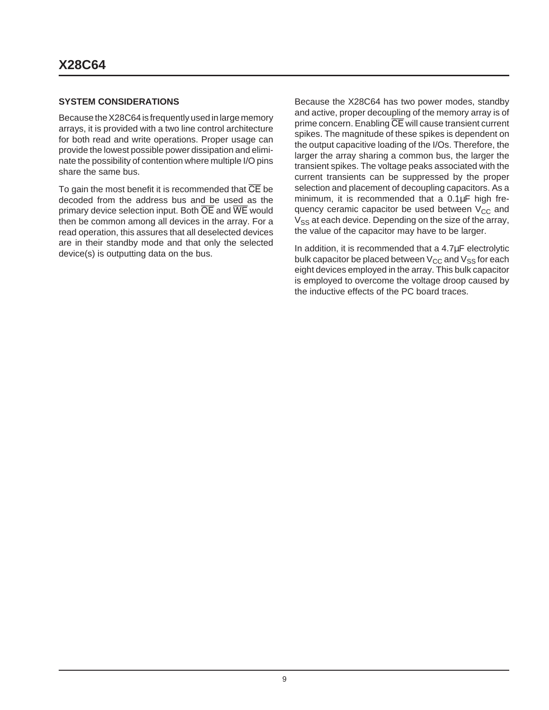### **SYSTEM CONSIDERATIONS**

Because the X28C64 is frequently used in large memory arrays, it is provided with a two line control architecture for both read and write operations. Proper usage can provide the lowest possible power dissipation and eliminate the possibility of contention where multiple I/O pins share the same bus.

To gain the most benefit it is recommended that  $\overline{\text{CE}}$  be decoded from the address bus and be used as the primary device selection input. Both  $\overline{OE}$  and  $\overline{WE}$  would then be common among all devices in the array. For a read operation, this assures that all deselected devices are in their standby mode and that only the selected device(s) is outputting data on the bus.

Because the X28C64 has two power modes, standby and active, proper decoupling of the memory array is of prime concern. Enabling CE will cause transient current spikes. The magnitude of these spikes is dependent on the output capacitive loading of the I/Os. Therefore, the larger the array sharing a common bus, the larger the transient spikes. The voltage peaks associated with the current transients can be suppressed by the proper selection and placement of decoupling capacitors. As a minimum, it is recommended that a 0.1µF high frequency ceramic capacitor be used between  $V_{CC}$  and  $V_{SS}$  at each device. Depending on the size of the array, the value of the capacitor may have to be larger.

In addition, it is recommended that a 4.7µF electrolytic bulk capacitor be placed between  $V_{CC}$  and  $V_{SS}$  for each eight devices employed in the array. This bulk capacitor is employed to overcome the voltage droop caused by the inductive effects of the PC board traces.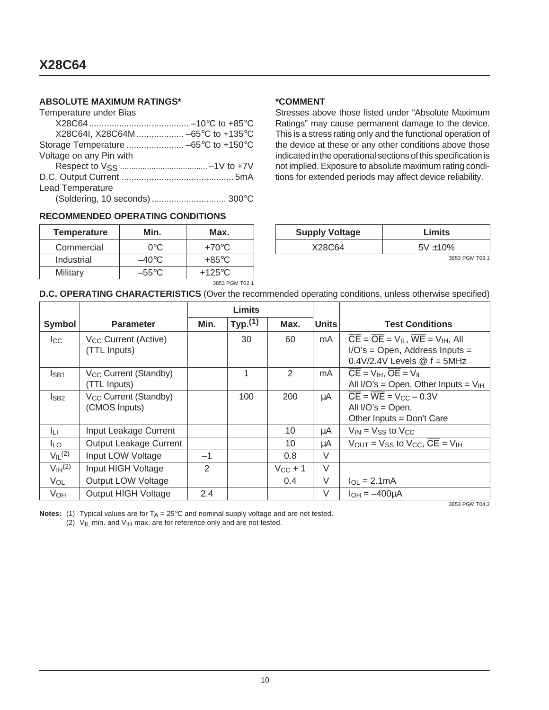### **ABSOLUTE MAXIMUM RATINGS\***

| Temperature under Bias               |  |
|--------------------------------------|--|
|                                      |  |
| X28C64I, X28C64M  -65°C to +135°C    |  |
| Storage Temperature  -65°C to +150°C |  |
| Voltage on any Pin with              |  |
|                                      |  |
|                                      |  |
| <b>Lead Temperature</b>              |  |
| (Soldering, 10 seconds)  300°C       |  |

### **RECOMMENDED OPERATING CONDITIONS**

| <b>Temperature</b> | Min.            | Max.             |  |  |
|--------------------|-----------------|------------------|--|--|
| Commercial         | ∩∘റ             | $+70^{\circ}$ C  |  |  |
| Industrial         | $-40^{\circ}$ C | $+85^{\circ}$ C  |  |  |
| Military           | $-55^{\circ}$ C | $+125^{\circ}$ C |  |  |
| 3853 PGM T02.1     |                 |                  |  |  |

### **\*COMMENT**

Stresses above those listed under "Absolute Maximum Ratings" may cause permanent damage to the device. This is a stress rating only and the functional operation of the device at these or any other conditions above those indicated in the operational sections of this specification is not implied. Exposure to absolute maximum rating conditions for extended periods may affect device reliability.

| <b>Supply Voltage</b> | Limits         |
|-----------------------|----------------|
| X28C64                | $5V \pm 10\%$  |
|                       | 3853 PGM T03 1 |

3853 PGM T03.1

### **D.C. OPERATING CHARACTERISTICS** (Over the recommended operating conditions, unless otherwise specified)

|                                |                                                    | Limits |        |               |              |                                                                                                                                                  |
|--------------------------------|----------------------------------------------------|--------|--------|---------------|--------------|--------------------------------------------------------------------------------------------------------------------------------------------------|
| Symbol                         | <b>Parameter</b>                                   | Min.   | Typ(1) | Max.          | <b>Units</b> | <b>Test Conditions</b>                                                                                                                           |
| $_{\rm lcc}$                   | V <sub>CC</sub> Current (Active)<br>(TTL Inputs)   |        | 30     | 60            | mA           | $\overline{CE} = \overline{OE} = V_{IL}$ , $\overline{WE} = V_{IH}$ , All<br>$I/O's = Open$ , Address Inputs =<br>$0.4V/2.4V$ Levels $@f = 5MHz$ |
| IsB1                           | V <sub>CC</sub> Current (Standby)<br>(TTL Inputs)  |        | 1      | 2             | mA           | $\overline{CE}$ = $V_{IH}$ , $\overline{OE}$ = $V_{II}$<br>All $I/O's = Open$ , Other Inputs = $V_{IH}$                                          |
| $I_{SB2}$                      | V <sub>CC</sub> Current (Standby)<br>(CMOS Inputs) |        | 100    | 200           | μA           | $\overline{CE}$ = $\overline{WE}$ = $V_{CC}$ - 0.3V<br>All $I/O's = Open$ ,<br>Other Inputs = Don't Care                                         |
| ĪЦ                             | Input Leakage Current                              |        |        | 10            | μA           | $V_{IN}$ = $V_{SS}$ to $V_{CC}$                                                                                                                  |
| <b>ILO</b>                     | Output Leakage Current                             |        |        | 10            | μA           | $V_{\text{OUT}} = V_{SS}$ to $V_{CC}$ , $\overline{CE} = V_{\text{IH}}$                                                                          |
| $V_{II}$ (2)                   | Input LOW Voltage                                  | $-1$   |        | 0.8           | V            |                                                                                                                                                  |
| V <sub>IH</sub> <sup>(2)</sup> | Input HIGH Voltage                                 | 2      |        | $V_{CC} + 1$  | $\vee$       |                                                                                                                                                  |
| VOL                            | Output LOW Voltage                                 |        |        | $0.4^{\circ}$ | V            | $I_{OL} = 2.1mA$                                                                                                                                 |
| <b>V<sub>OH</sub></b>          | <b>Output HIGH Voltage</b>                         | 2.4    |        |               | V            | $I_{OH} = -400 \mu A$                                                                                                                            |
|                                |                                                    |        |        |               |              | 3853 PGM T04.2                                                                                                                                   |

**Notes:** (1) Typical values are for  $T_A = 25^\circ \text{C}$  and nominal supply voltage and are not tested.

(2)  $V_{\text{IL}}$  min. and  $V_{\text{IH}}$  max. are for reference only and are not tested.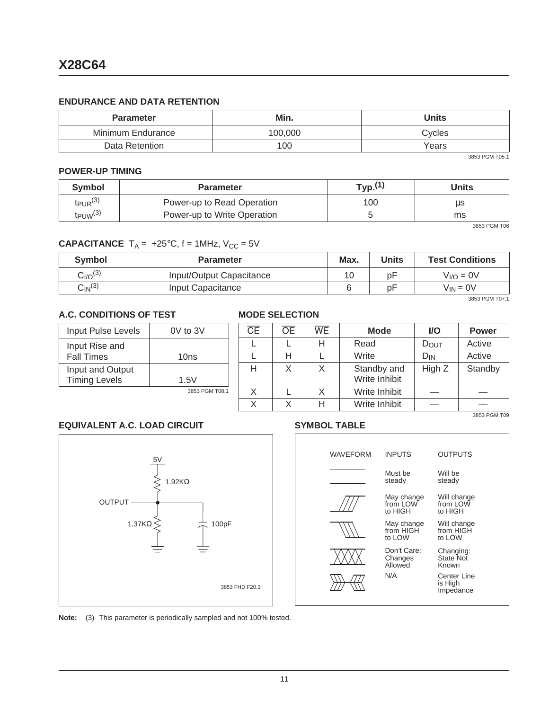### **ENDURANCE AND DATA RETENTION**

| <b>Parameter</b>  | Min.    | <b>Units</b> |  |  |
|-------------------|---------|--------------|--|--|
| Minimum Endurance | 100.000 | Cycles       |  |  |
| Data Retention    | 100     | Years        |  |  |

3853 PGM T05.1

#### **POWER-UP TIMING**

| Symbol                   | <b>Parameter</b>            | Typ.(1) | Units |
|--------------------------|-----------------------------|---------|-------|
| $tp_{UR}$ (3)            | Power-up to Read Operation  | 100     | μs    |
| $t_{PUW}$ <sup>(3)</sup> | Power-up to Write Operation |         | ms    |

3853 PGM T06

### **CAPACITANCE**  $T_A = +25^{\circ}C$ ,  $f = 1$ MHz,  $V_{CC} = 5V$

| <b>Symbol</b>            | <b>Parameter</b>         | Max. | 'Jnits | <b>Test Conditions</b> |
|--------------------------|--------------------------|------|--------|------------------------|
| $C_{\mathsf{I/O}}^{(3)}$ | Input/Output Capacitance | 10   | рF     | $V_{I/O} = 0V$         |
| $C_{\mathsf{IN}}^{(3)}$  | Input Capacitance        |      | рF     | $V_{IN} = 0V$          |

3853 PGM T07.1

### **A.C. CONDITIONS OF TEST**

| Input Pulse Levels                       | $0V$ to $3V$   |
|------------------------------------------|----------------|
| Input Rise and<br><b>Fall Times</b>      | 10ns           |
| Input and Output<br><b>Timing Levels</b> | 1.5V           |
|                                          | 3853 PGM T08.1 |

### **MODE SELECTION**

| $\overline{\text{CE}}$ | <b>OE</b> | <b>WE</b> | <b>Mode</b>                  | <b>VO</b> | <b>Power</b> |
|------------------------|-----------|-----------|------------------------------|-----------|--------------|
|                        |           | н         | Read                         | DOUT      | Active       |
|                        | н         |           | Write                        | $D_{IN}$  | Active       |
| н                      | X         | X         | Standby and<br>Write Inhibit | High Z    | Standby      |
| X.                     |           | X.        | Write Inhibit                |           |              |
|                        |           | H         | Write Inhibit                |           |              |
|                        |           |           |                              |           | 3853 PGM T09 |

### **EQUIVALENT A.C. LOAD CIRCUIT**



### **SYMBOL TABLE**

|                | <b>WAVEFORM</b> | <b>INPUTS</b>                     | <b>OUTPUTS</b>                         |
|----------------|-----------------|-----------------------------------|----------------------------------------|
|                |                 | Must be<br>steady                 | Will be<br>steady                      |
|                |                 | May change<br>from LOW<br>to HIGH | Will change<br>from LOW<br>to HIGH     |
| )pF            |                 | May change<br>from HIGH<br>to LOW | Will change<br>from HIGH<br>to LOW     |
|                |                 | Don't Care:<br>Changes<br>Allowed | Changing:<br><b>State Not</b><br>Known |
| 3853 FHD F20.3 |                 | N/A                               | Center Line<br>is High<br>Impedance    |
|                |                 |                                   |                                        |

**Note:** (3) This parameter is periodically sampled and not 100% tested.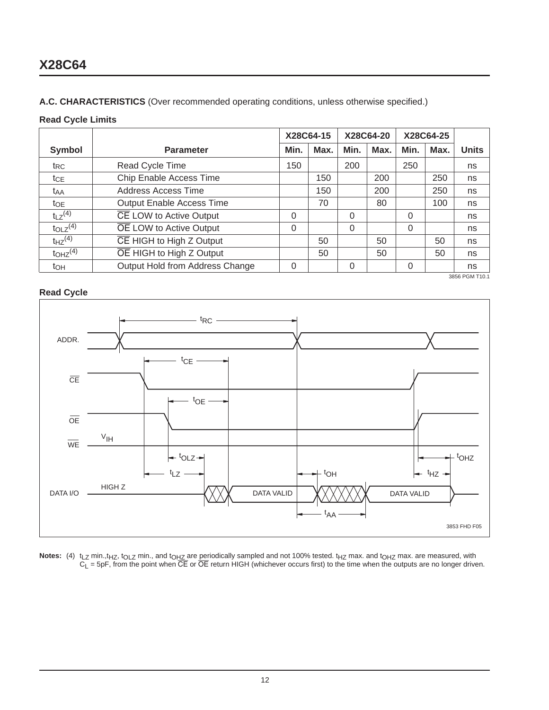### **A.C. CHARACTERISTICS** (Over recommended operating conditions, unless otherwise specified.)

### **Read Cycle Limits**

|                                     |                                  |          | X28C64-15 |          | X28C64-20 |          | X28C64-25 |                |
|-------------------------------------|----------------------------------|----------|-----------|----------|-----------|----------|-----------|----------------|
| Symbol                              | Min.<br><b>Parameter</b>         |          | Max.      | Min.     | Max.      | Min.     | Max.      | <b>Units</b>   |
| t <sub>RC</sub>                     | Read Cycle Time                  | 150      |           | 200      |           | 250      |           | ns             |
| <b>t</b> ce                         | Chip Enable Access Time          |          | 150       |          | 200       |          | 250       | ns             |
| t <sub>AA</sub>                     | Address Access Time              |          | 150       |          | 200       |          | 250       | ns             |
| $t_{OE}$                            | <b>Output Enable Access Time</b> |          | 70        |          | 80        |          | 100       | ns             |
| $t_1$ $z^{(4)}$                     | CE LOW to Active Output          | 0        |           | 0        |           | 0        |           | ns             |
| $t_{OLZ}$ <sup>(4)</sup>            | OE LOW to Active Output          | $\Omega$ |           | $\Omega$ |           | $\Omega$ |           | ns             |
| $t_{HZ}$ <sup>(4)</sup>             | CE HIGH to High Z Output         |          | 50        |          | 50        |          | 50        | ns             |
| $to$ Hz <sup><math>(4)</math></sup> | OE HIGH to High Z Output         |          | 50        |          | 50        |          | 50        | ns             |
| toh                                 | Output Hold from Address Change  | 0        |           |          |           | 0        |           | ns             |
|                                     |                                  |          |           |          |           |          |           | 3856 PGM T10.1 |

### **Read Cycle**



**Notes:** (4) t<sub>LZ</sub> min.,t<sub>HZ</sub>, t<sub>OLZ</sub> min., and t<sub>OHZ</sub> are periodically sampled and not 100% tested. t<sub>HZ</sub> max. and t<sub>OHZ</sub> max. are measured, with  $C_L$  = 5pF, from the point when  $\overline{\text{CE}}$  or  $\overline{\text{OE}}$  return HIGH (whichever occurs first) to the time when the outputs are no longer driven.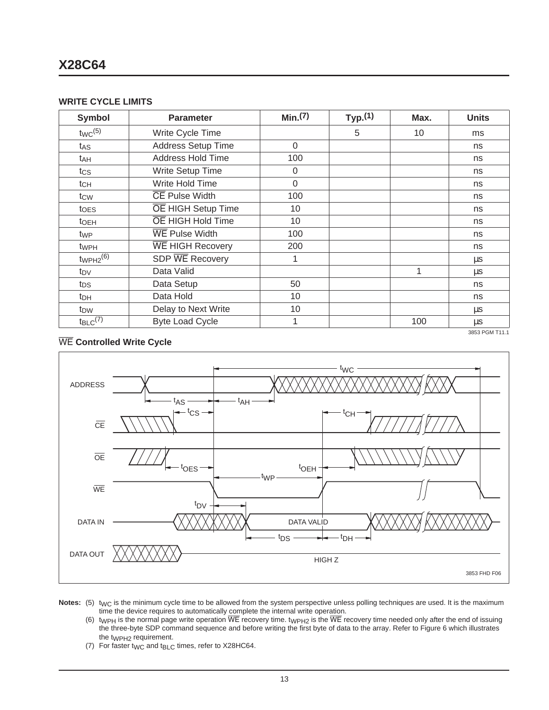#### **WRITE CYCLE LIMITS**

| <b>Symbol</b>            | <b>Parameter</b>          | Min(7)      | Typ(1) | Max. | <b>Units</b>   |
|--------------------------|---------------------------|-------------|--------|------|----------------|
| $twc^{(5)}$              | Write Cycle Time          |             | 5      | 10   | ms             |
| tas                      | <b>Address Setup Time</b> | $\mathbf 0$ |        |      | ns             |
| t <sub>AH</sub>          | <b>Address Hold Time</b>  | 100         |        |      | ns             |
| tcs                      | Write Setup Time          | 0           |        |      | ns             |
| $t$ CH                   | Write Hold Time           | 0           |        |      | ns             |
| tcw                      | <b>CE Pulse Width</b>     | 100         |        |      | ns             |
| toes                     | OE HIGH Setup Time        | 10          |        |      | ns             |
| toeh                     | OE HIGH Hold Time         | 10          |        |      | ns             |
| t <sub>WP</sub>          | <b>WE Pulse Width</b>     | 100         |        |      | ns             |
| t <sub>WPH</sub>         | <b>WE HIGH Recovery</b>   | 200         |        |      | ns             |
| $twophz^{(6)}$           | SDP WE Recovery           |             |        |      | μs             |
| t <sub>DV</sub>          | Data Valid                |             |        | 1    | μs             |
| tps                      | Data Setup                | 50          |        |      | ns             |
| t <sub>DH</sub>          | Data Hold                 | 10          |        |      | ns             |
| t <sub>DW</sub>          | Delay to Next Write       | 10          |        |      | μs             |
| $t_{BLC}$ <sup>(7)</sup> | <b>Byte Load Cycle</b>    | 1           |        | 100  | <b>us</b>      |
|                          |                           |             |        |      | 3853 PGM T11.1 |

### WE **Controlled Write Cycle**



Notes: (5) t<sub>WC</sub> is the minimum cycle time to be allowed from the system perspective unless polling techniques are used. It is the maximum time the device requires to automatically complete the internal write operation.

(6)  $t_{WPH}$  is the normal page write operation WE recovery time.  $t_{WPH2}$  is the WE recovery time needed only after the end of issuing the three-byte SDP command sequence and before writing the first byte of data to the array. Refer to Figure 6 which illustrates the t<sub>WPH2</sub> requirement.

(7) For faster  $t_{\text{WC}}$  and  $t_{\text{BLC}}$  times, refer to X28HC64.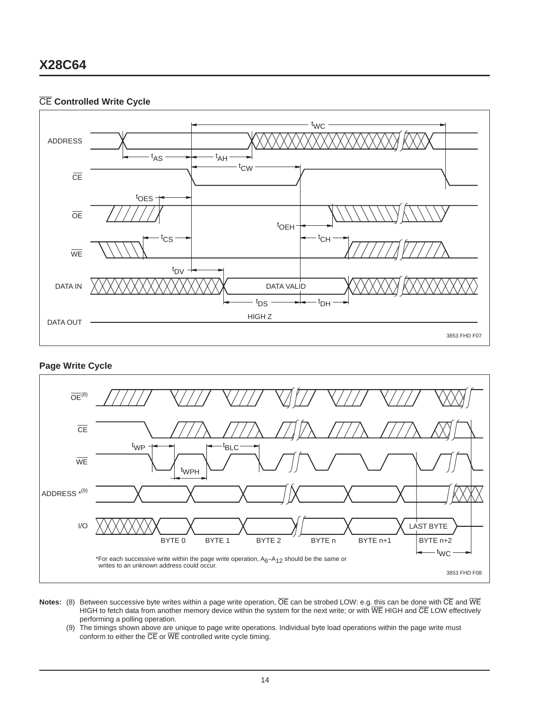### CE **Controlled Write Cycle**



#### **Page Write Cycle**



- **Notes:** (8) Between successive byte writes within a page write operation, OE can be strobed LOW: e.g. this can be done with CE and WE HIGH to fetch data from another memory device within the system for the next write; or with  $\overline{\text{WE}}$  HIGH and  $\overline{\text{CE}}$  LOW effectively performing a polling operation.
	- (9) The timings shown above are unique to page write operations. Individual byte load operations within the page write must conform to either the  $\overline{\text{CE}}$  or  $\overline{\text{WE}}$  controlled write cycle timing.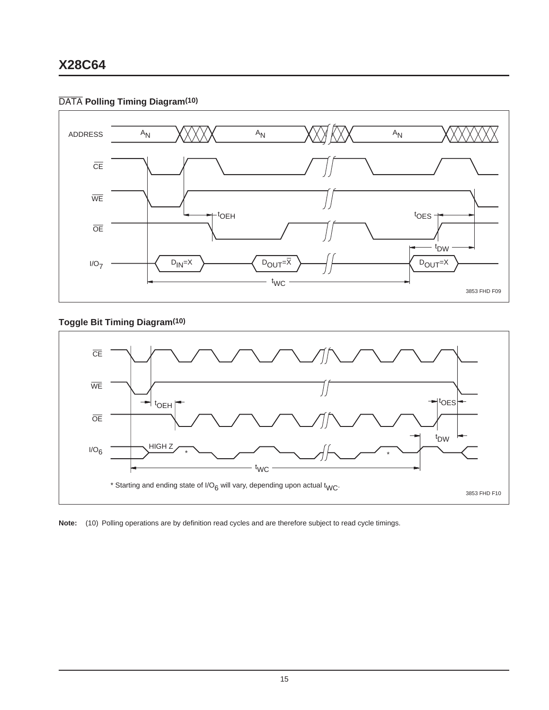### DATA **Polling Timing Diagram(10)**



### **Toggle Bit Timing Diagram(10)**



**Note:** (10) Polling operations are by definition read cycles and are therefore subject to read cycle timings.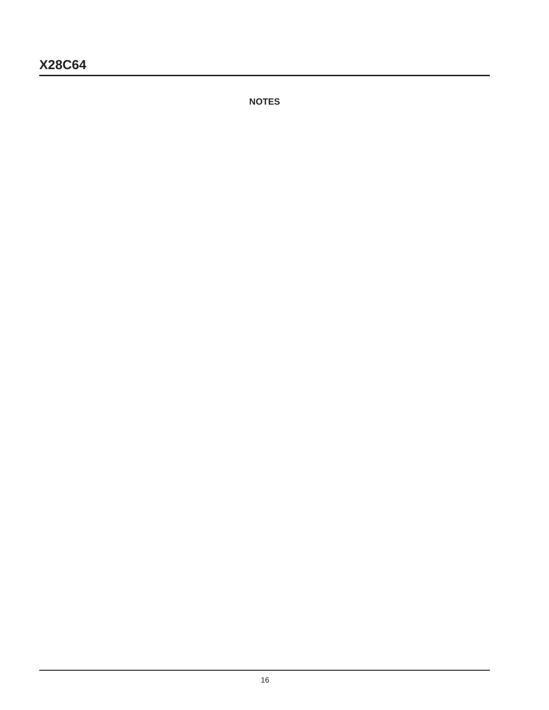**NOTES**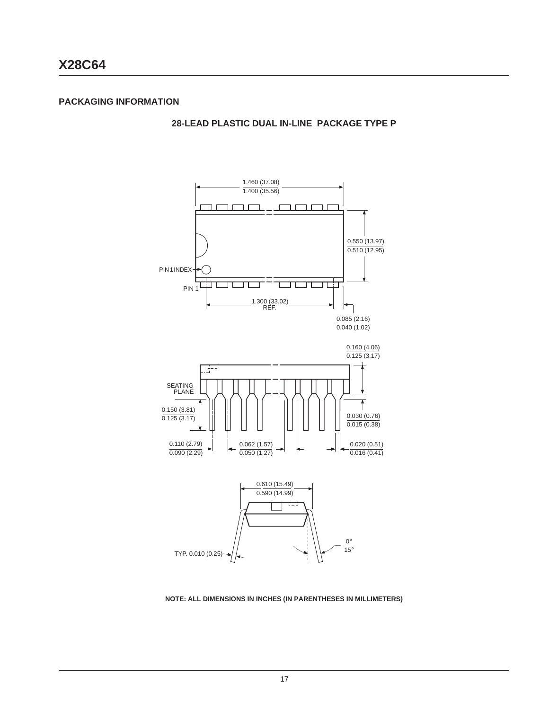**28-LEAD PLASTIC DUAL IN-LINE PACKAGE TYPE P**



#### **NOTE: ALL DIMENSIONS IN INCHES (IN PARENTHESES IN MILLIMETERS)**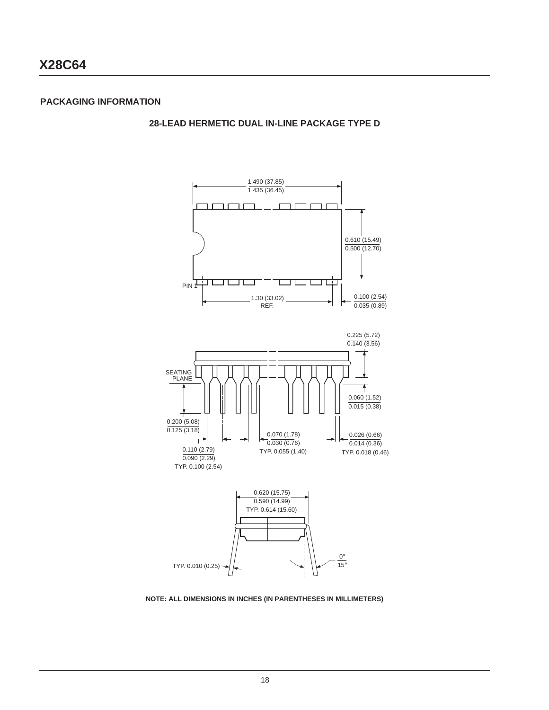**28-LEAD HERMETIC DUAL IN-LINE PACKAGE TYPE D**



**NOTE: ALL DIMENSIONS IN INCHES (IN PARENTHESES IN MILLIMETERS)**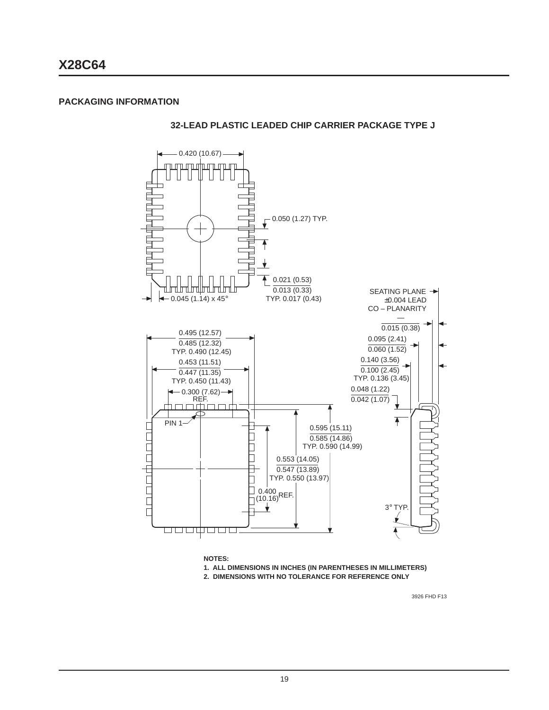**32-LEAD PLASTIC LEADED CHIP CARRIER PACKAGE TYPE J**



**2. DIMENSIONS WITH NO TOLERANCE FOR REFERENCE ONLY**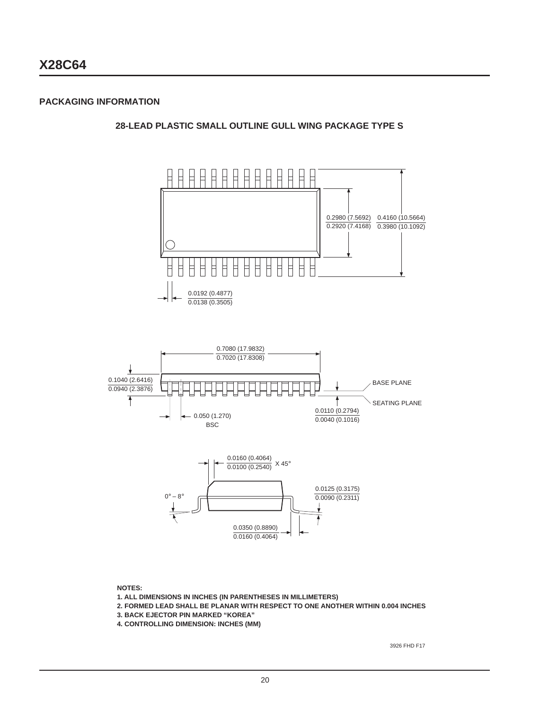**28-LEAD PLASTIC SMALL OUTLINE GULL WING PACKAGE TYPE S**



**NOTES:**

**1. ALL DIMENSIONS IN INCHES (IN PARENTHESES IN MILLIMETERS)**

**2. FORMED LEAD SHALL BE PLANAR WITH RESPECT TO ONE ANOTHER WITHIN 0.004 INCHES**

**3. BACK EJECTOR PIN MARKED "KOREA"**

**4. CONTROLLING DIMENSION: INCHES (MM)**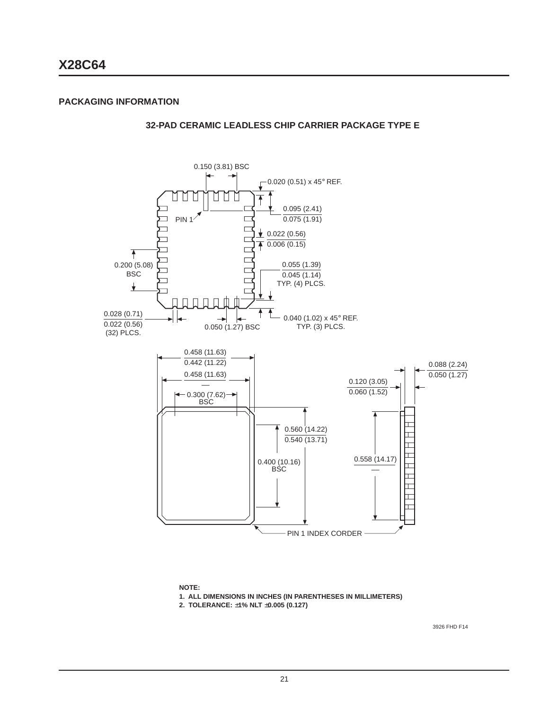**32-PAD CERAMIC LEADLESS CHIP CARRIER PACKAGE TYPE E**



**NOTE:**

**1. ALL DIMENSIONS IN INCHES (IN PARENTHESES IN MILLIMETERS)**

**2. TOLERANCE:** ±**1% NLT** ±**0.005 (0.127)**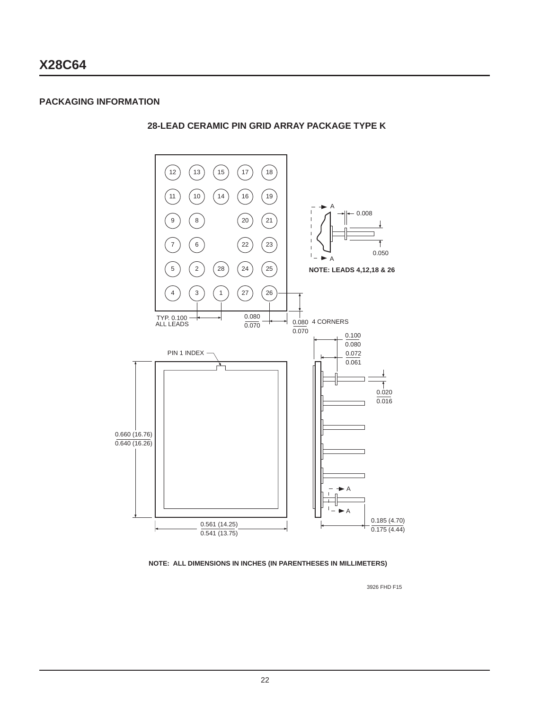**28-LEAD CERAMIC PIN GRID ARRAY PACKAGE TYPE K**



**NOTE: ALL DIMENSIONS IN INCHES (IN PARENTHESES IN MILLIMETERS)**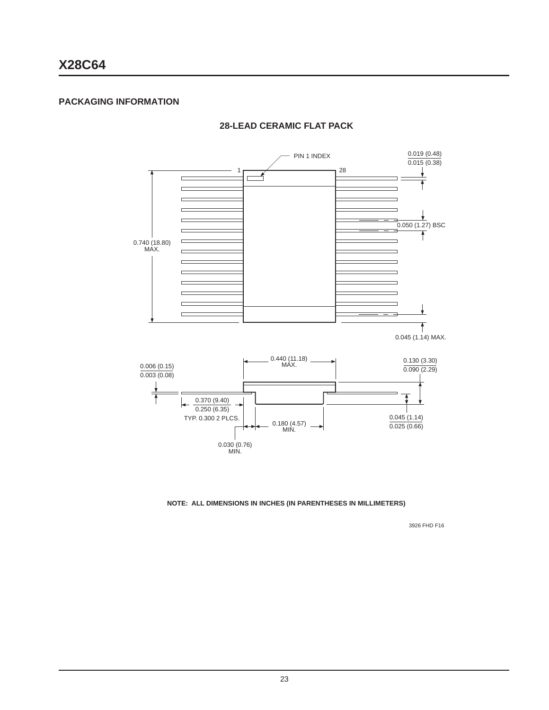### **PACKAGING INFORMATION**



### **28-LEAD CERAMIC FLAT PACK**

**NOTE: ALL DIMENSIONS IN INCHES (IN PARENTHESES IN MILLIMETERS)**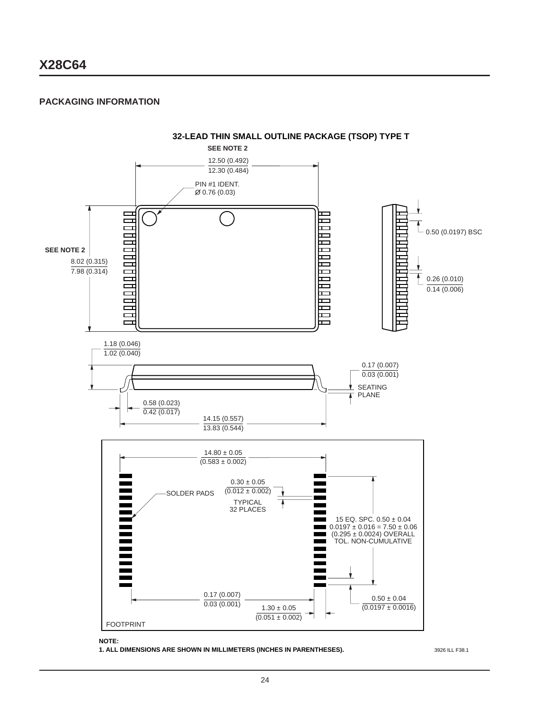### **PACKAGING INFORMATION**



**NOTE:**

**1. ALL DIMENSIONS ARE SHOWN IN MILLIMETERS (INCHES IN PARENTHESES).**

3926 ILL F38.1